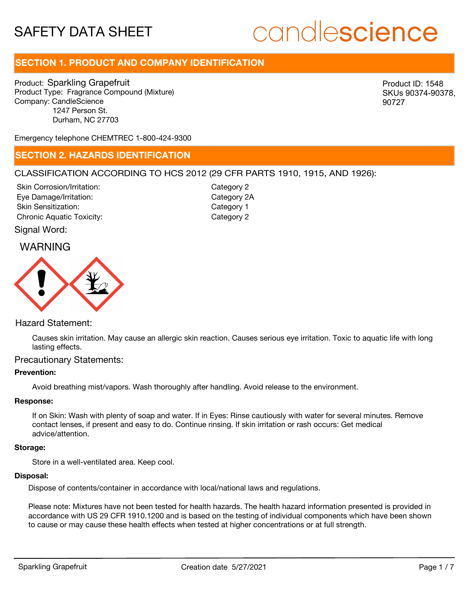# candlescience

# **SECTION 1. PRODUCT AND COMPANY IDENTIFICATION**

Product: Sparkling Grapefruit Product Type: Fragrance Compound (Mixture) Company: CandleScience 1247 Person St. Durham, NC 27703

Product ID: 1548 SKUs 90374-90378, 90727

Emergency telephone CHEMTREC 1-800-424-9300

### **SECTION 2. HAZARDS IDENTIFICATION**

#### CLASSIFICATION ACCORDING TO HCS 2012 (29 CFR PARTS 1910, 1915, AND 1926):

Skin Corrosion/Irritation: Eye Damage/Irritation: Skin Sensitization: Chronic Aquatic Toxicity: Chronic Aquatic Toxicity:

Category 2 Category 2A Category 1

Signal Word:

## WARNING



#### Hazard Statement:

Causes skin irritation. May cause an allergic skin reaction. Causes serious eye irritation. Toxic to aquatic life with long lasting effects.

#### Precautionary Statements:

#### **Prevention:**

Avoid breathing mist/vapors. Wash thoroughly after handling. Avoid release to the environment.

#### **Response:**

If on Skin: Wash with plenty of soap and water. If in Eyes: Rinse cautiously with water for several minutes. Remove contact lenses, if present and easy to do. Continue rinsing. If skin irritation or rash occurs: Get medical advice/attention.

#### **Storage:**

Store in a well-ventilated area. Keep cool.

#### **Disposal:**

Dispose of contents/container in accordance with local/national laws and regulations.

Please note: Mixtures have not been tested for health hazards. The health hazard information presented is provided in accordance with US 29 CFR 1910.1200 and is based on the testing of individual components which have been shown to cause or may cause these health effects when tested at higher concentrations or at full strength.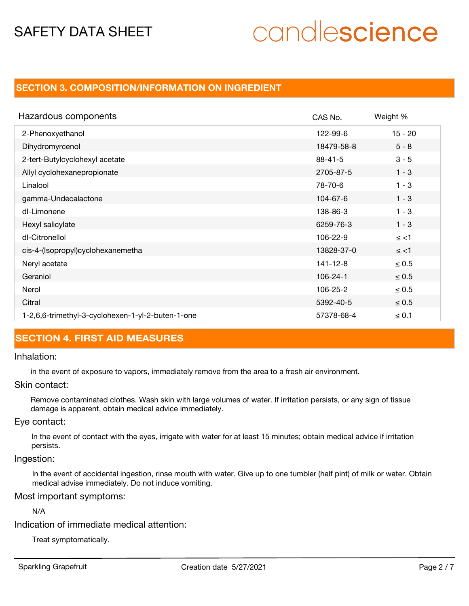# candlescience

### **SECTION 3. COMPOSITION/INFORMATION ON INGREDIENT**

| Hazardous components                              | CAS No.        | Weight %   |
|---------------------------------------------------|----------------|------------|
| 2-Phenoxyethanol                                  | 122-99-6       | $15 - 20$  |
| Dihydromyrcenol                                   | 18479-58-8     | $5 - 8$    |
| 2-tert-Butylcyclohexyl acetate                    | $88 - 41 - 5$  | $3 - 5$    |
| Allyl cyclohexanepropionate                       | 2705-87-5      | $1 - 3$    |
| Linalool                                          | 78-70-6        | $1 - 3$    |
| gamma-Undecalactone                               | 104-67-6       | $1 - 3$    |
| dl-Limonene                                       | 138-86-3       | $1 - 3$    |
| Hexyl salicylate                                  | 6259-76-3      | $1 - 3$    |
| dl-Citronellol                                    | 106-22-9       | $\le$ <1   |
| cis-4-(Isopropyl)cyclohexanemetha                 | 13828-37-0     | $\le$ <1   |
| Neryl acetate                                     | 141-12-8       | $\leq 0.5$ |
| Geraniol                                          | $106 - 24 - 1$ | $\leq 0.5$ |
| Nerol                                             | 106-25-2       | $\leq 0.5$ |
| Citral                                            | 5392-40-5      | $\leq 0.5$ |
| 1-2,6,6-trimethyl-3-cyclohexen-1-yl-2-buten-1-one | 57378-68-4     | $\leq 0.1$ |

## **SECTION 4. FIRST AID MEASURES**

#### Inhalation:

in the event of exposure to vapors, immediately remove from the area to a fresh air environment.

#### Skin contact:

Remove contaminated clothes. Wash skin with large volumes of water. If irritation persists, or any sign of tissue damage is apparent, obtain medical advice immediately.

#### Eye contact:

In the event of contact with the eyes, irrigate with water for at least 15 minutes; obtain medical advice if irritation persists.

#### Ingestion:

In the event of accidental ingestion, rinse mouth with water. Give up to one tumbler (half pint) of milk or water. Obtain medical advise immediately. Do not induce vomiting.

#### Most important symptoms:

#### N/A

Indication of immediate medical attention:

Treat symptomatically.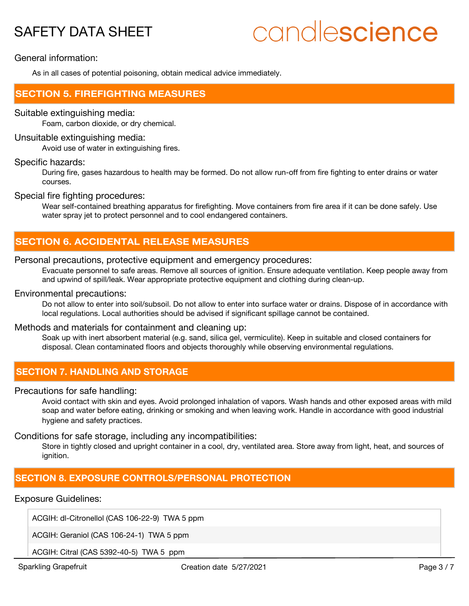# candlescience

General information:

As in all cases of potential poisoning, obtain medical advice immediately.

### **SECTION 5. FIREFIGHTING MEASURES**

#### Suitable extinguishing media:

Foam, carbon dioxide, or dry chemical.

#### Unsuitable extinguishing media:

Avoid use of water in extinguishing fires.

#### Specific hazards:

During fire, gases hazardous to health may be formed. Do not allow run-off from fire fighting to enter drains or water courses.

#### Special fire fighting procedures:

Wear self-contained breathing apparatus for firefighting. Move containers from fire area if it can be done safely. Use water spray jet to protect personnel and to cool endangered containers.

## **SECTION 6. ACCIDENTAL RELEASE MEASURES**

#### Personal precautions, protective equipment and emergency procedures:

Evacuate personnel to safe areas. Remove all sources of ignition. Ensure adequate ventilation. Keep people away from and upwind of spill/leak. Wear appropriate protective equipment and clothing during clean-up.

#### Environmental precautions:

Do not allow to enter into soil/subsoil. Do not allow to enter into surface water or drains. Dispose of in accordance with local regulations. Local authorities should be advised if significant spillage cannot be contained.

#### Methods and materials for containment and cleaning up:

Soak up with inert absorbent material (e.g. sand, silica gel, vermiculite). Keep in suitable and closed containers for disposal. Clean contaminated floors and objects thoroughly while observing environmental regulations.

## **SECTION 7. HANDLING AND STORAGE**

#### Precautions for safe handling:

Avoid contact with skin and eyes. Avoid prolonged inhalation of vapors. Wash hands and other exposed areas with mild soap and water before eating, drinking or smoking and when leaving work. Handle in accordance with good industrial hygiene and safety practices.

#### Conditions for safe storage, including any incompatibilities:

Store in tightly closed and upright container in a cool, dry, ventilated area. Store away from light, heat, and sources of ignition.

## **SECTION 8. EXPOSURE CONTROLS/PERSONAL PROTECTION**

#### Exposure Guidelines:

ACGIH: dl-Citronellol (CAS 106-22-9) TWA 5 ppm

ACGIH: Geraniol (CAS 106-24-1) TWA 5 ppm

ACGIH: Citral (CAS 5392-40-5) TWA 5 ppm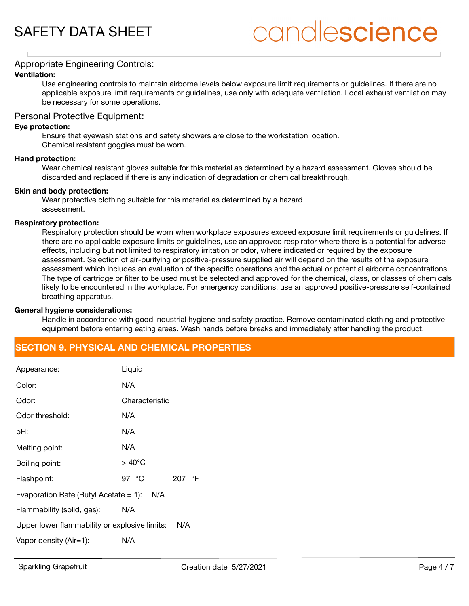# candlescience

#### Appropriate Engineering Controls:

#### **Ventilation:**

Use engineering controls to maintain airborne levels below exposure limit requirements or guidelines. If there are no applicable exposure limit requirements or guidelines, use only with adequate ventilation. Local exhaust ventilation may be necessary for some operations.

#### Personal Protective Equipment:

#### **Eye protection:**

Ensure that eyewash stations and safety showers are close to the workstation location. Chemical resistant goggles must be worn.

#### **Hand protection:**

Wear chemical resistant gloves suitable for this material as determined by a hazard assessment. Gloves should be discarded and replaced if there is any indication of degradation or chemical breakthrough.

#### **Skin and body protection:**

Wear protective clothing suitable for this material as determined by a hazard assessment.

#### **Respiratory protection:**

Respiratory protection should be worn when workplace exposures exceed exposure limit requirements or guidelines. If there are no applicable exposure limits or guidelines, use an approved respirator where there is a potential for adverse effects, including but not limited to respiratory irritation or odor, where indicated or required by the exposure assessment. Selection of air-purifying or positive-pressure supplied air will depend on the results of the exposure assessment which includes an evaluation of the specific operations and the actual or potential airborne concentrations. The type of cartridge or filter to be used must be selected and approved for the chemical, class, or classes of chemicals likely to be encountered in the workplace. For emergency conditions, use an approved positive-pressure self-contained breathing apparatus.

#### **General hygiene considerations:**

Handle in accordance with good industrial hygiene and safety practice. Remove contaminated clothing and protective equipment before entering eating areas. Wash hands before breaks and immediately after handling the product.

## **SECTION 9. PHYSICAL AND CHEMICAL PROPERTIES**

| Appearance:                                     | Liquid                            |  |  |
|-------------------------------------------------|-----------------------------------|--|--|
| Color:                                          | N/A                               |  |  |
| Odor:                                           | Characteristic                    |  |  |
| Odor threshold:                                 | N/A                               |  |  |
| pH:                                             | N/A                               |  |  |
| Melting point:                                  | N/A                               |  |  |
| Boiling point:                                  | $>40^{\circ}$ C                   |  |  |
| Flashpoint:                                     | 97 $\degree$ C<br>207 $\degree$ F |  |  |
| Evaporation Rate (Butyl Acetate $= 1$ ):<br>N/A |                                   |  |  |
| Flammability (solid, gas):                      | N/A                               |  |  |
| Upper lower flammability or explosive limits:   | N/A                               |  |  |
| Vapor density (Air=1):                          | N/A                               |  |  |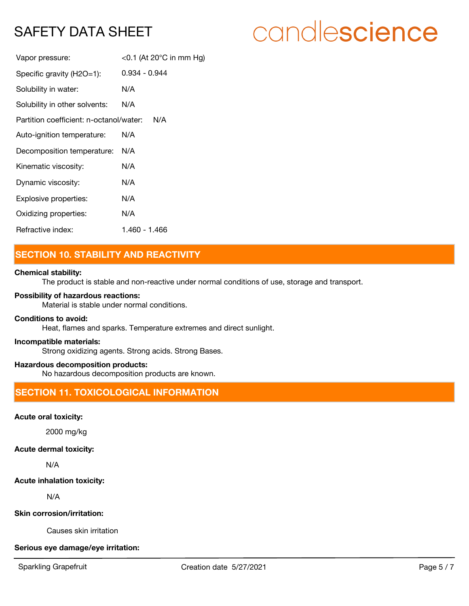# candlescience

| Vapor pressure:                                | <0.1 (At 20 $^{\circ}$ C in mm Hg) |  |
|------------------------------------------------|------------------------------------|--|
| Specific gravity (H2O=1):                      | 0.934 - 0.944                      |  |
| Solubility in water:                           | N/A                                |  |
| Solubility in other solvents:                  | N/A                                |  |
| Partition coefficient: n-octanol/water:<br>N/A |                                    |  |
| Auto-ignition temperature:                     | N/A                                |  |
| Decomposition temperature:                     | N/A                                |  |
| Kinematic viscosity:                           | N/A                                |  |
| Dynamic viscosity:                             | N/A                                |  |
| Explosive properties:                          | N/A                                |  |
| Oxidizing properties:                          | N/A                                |  |
| Refractive index:                              | 1.460 - 1.466                      |  |

# **SECTION 10. STABILITY AND REACTIVITY**

#### **Chemical stability:**

The product is stable and non-reactive under normal conditions of use, storage and transport.

#### **Possibility of hazardous reactions:**

Material is stable under normal conditions.

#### **Conditions to avoid:**

Heat, flames and sparks. Temperature extremes and direct sunlight.

#### **Incompatible materials:**

Strong oxidizing agents. Strong acids. Strong Bases.

#### **Hazardous decomposition products:**

No hazardous decomposition products are known.

# **SECTION 11. TOXICOLOGICAL INFORMATION**

#### **Acute oral toxicity:**

2000 mg/kg

#### **Acute dermal toxicity:**

N/A

#### **Acute inhalation toxicity:**

N/A

#### **Skin corrosion/irritation:**

Causes skin irritation

#### **Serious eye damage/eye irritation:**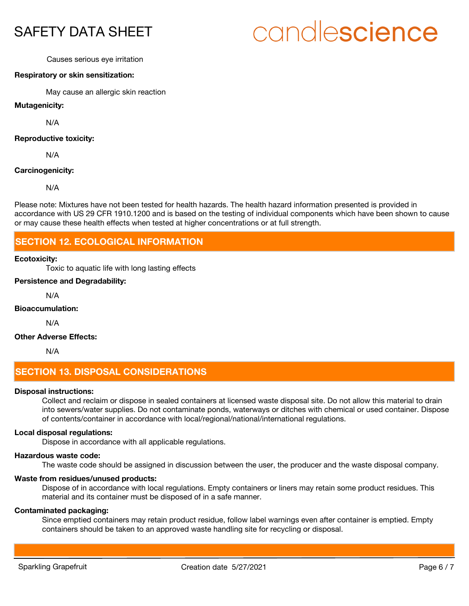# candlescience

#### Causes serious eye irritation

#### **Respiratory or skin sensitization:**

May cause an allergic skin reaction

**Mutagenicity:**

N/A

#### **Reproductive toxicity:**

N/A

#### **Carcinogenicity:**

N/A

Please note: Mixtures have not been tested for health hazards. The health hazard information presented is provided in accordance with US 29 CFR 1910.1200 and is based on the testing of individual components which have been shown to cause or may cause these health effects when tested at higher concentrations or at full strength.

### **SECTION 12. ECOLOGICAL INFORMATION**

#### **Ecotoxicity:**

Toxic to aquatic life with long lasting effects

#### **Persistence and Degradability:**

N/A

#### **Bioaccumulation:**

N/A

#### **Other Adverse Effects:**

N/A

## **SECTION 13. DISPOSAL CONSIDERATIONS**

#### **Disposal instructions:**

Collect and reclaim or dispose in sealed containers at licensed waste disposal site. Do not allow this material to drain into sewers/water supplies. Do not contaminate ponds, waterways or ditches with chemical or used container. Dispose of contents/container in accordance with local/regional/national/international regulations.

#### **Local disposal regulations:**

Dispose in accordance with all applicable regulations.

#### **Hazardous waste code:**

The waste code should be assigned in discussion between the user, the producer and the waste disposal company.

#### **Waste from residues/unused products:**

Dispose of in accordance with local regulations. Empty containers or liners may retain some product residues. This material and its container must be disposed of in a safe manner.

#### **Contaminated packaging:**

Since emptied containers may retain product residue, follow label warnings even after container is emptied. Empty containers should be taken to an approved waste handling site for recycling or disposal.